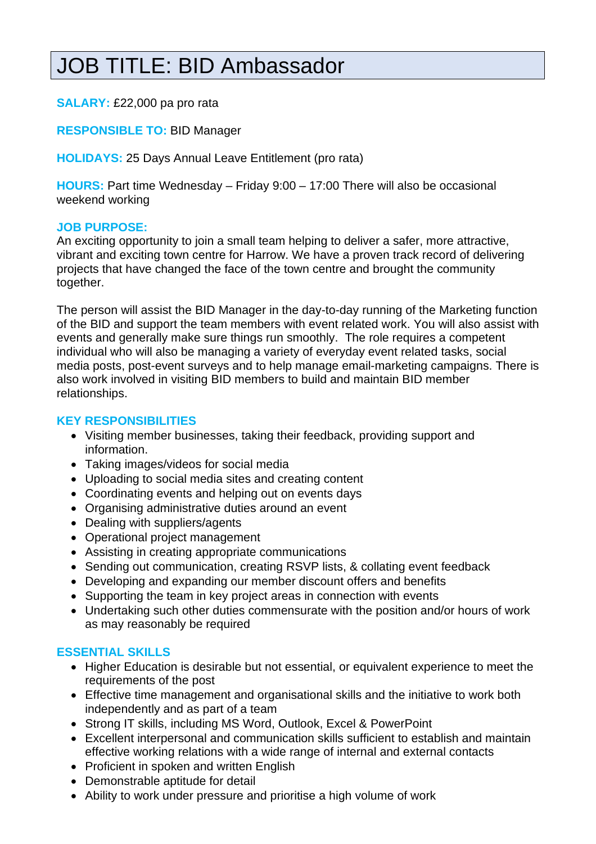# JOB TITLE: BID Ambassador

# **SALARY:** £22,000 pa pro rata

# **RESPONSIBLE TO:** BID Manager

**HOLIDAYS:** 25 Days Annual Leave Entitlement (pro rata)

**HOURS:** Part time Wednesday – Friday 9:00 – 17:00 There will also be occasional weekend working

# **JOB PURPOSE:**

An exciting opportunity to join a small team helping to deliver a safer, more attractive, vibrant and exciting town centre for Harrow. We have a proven track record of delivering projects that have changed the face of the town centre and brought the community together.

The person will assist the BID Manager in the day-to-day running of the Marketing function of the BID and support the team members with event related work. You will also assist with events and generally make sure things run smoothly. The role requires a competent individual who will also be managing a variety of everyday event related tasks, social media posts, post-event surveys and to help manage email-marketing campaigns. There is also work involved in visiting BID members to build and maintain BID member relationships.

#### **KEY RESPONSIBILITIES**

- Visiting member businesses, taking their feedback, providing support and information.
- Taking images/videos for social media
- Uploading to social media sites and creating content
- Coordinating events and helping out on events days
- Organising administrative duties around an event
- Dealing with suppliers/agents
- Operational project management
- Assisting in creating appropriate communications
- Sending out communication, creating RSVP lists, & collating event feedback
- Developing and expanding our member discount offers and benefits
- Supporting the team in key project areas in connection with events
- Undertaking such other duties commensurate with the position and/or hours of work as may reasonably be required

# **ESSENTIAL SKILLS**

- Higher Education is desirable but not essential, or equivalent experience to meet the requirements of the post
- Effective time management and organisational skills and the initiative to work both independently and as part of a team
- Strong IT skills, including MS Word, Outlook, Excel & PowerPoint
- Excellent interpersonal and communication skills sufficient to establish and maintain effective working relations with a wide range of internal and external contacts
- Proficient in spoken and written English
- Demonstrable aptitude for detail
- Ability to work under pressure and prioritise a high volume of work